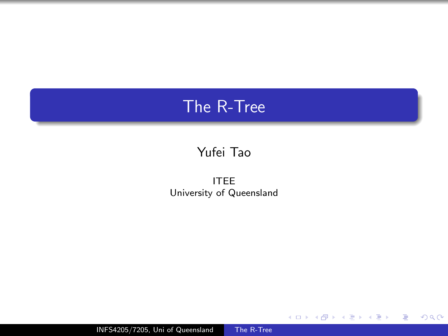# <span id="page-0-0"></span>The R-Tree

## Yufei Tao

ITEE University of Queensland

目

÷.  $\rightarrow$ 

**◆ ロ ▶ → 何** 

∍

 $\sim$ ×.

 $\rightarrow$ 

 $299$ 

INFS4205/7205, Uni of Queensland [The R-Tree](#page-32-0)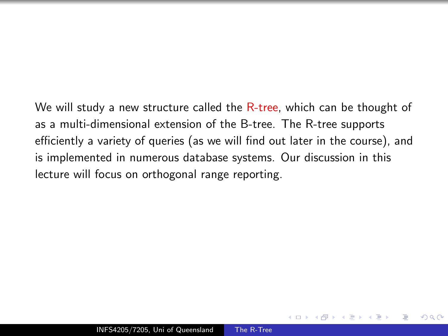We will study a new structure called the R-tree, which can be thought of as a multi-dimensional extension of the B-tree. The R-tree supports efficiently a variety of queries (as we will find out later in the course), and is implemented in numerous database systems. Our discussion in this lecture will focus on orthogonal range reporting.

つくい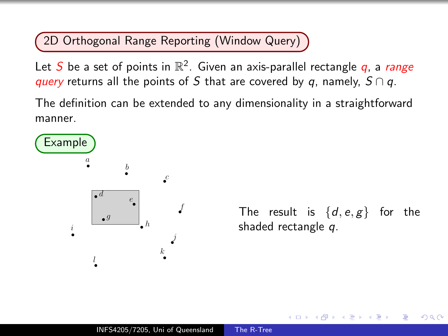2D Orthogonal Range Reporting (Window Query)

Let  $S$  be a set of points in  $\mathbb{R}^2$ . Given an axis-parallel rectangle  $q$ , a range query returns all the points of S that are covered by q, namely,  $S \cap q$ .

The definition can be extended to any dimensionality in a straightforward manner.



The result is  $\{d, e, g\}$  for the shaded rectangle q.

つくい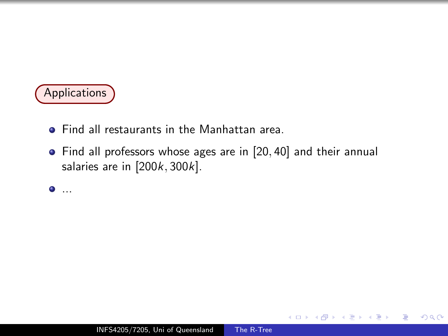

- **Find all restaurants in the Manhattan area.**
- Find all professors whose ages are in [20, 40] and their annual salaries are in  $[200k, 300k]$ .

 $\bullet$  ...

 $2990$ 

э  $\mathbb{R}$ 

∍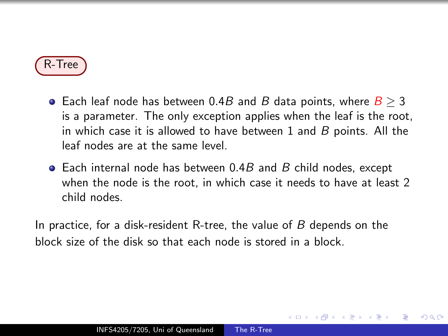

- Each leaf node has between 0.4B and B data points, where  $B \ge 3$ is a parameter. The only exception applies when the leaf is the root, in which case it is allowed to have between 1 and  $B$  points. All the leaf nodes are at the same level.
- $\bullet$  Each internal node has between 0.4B and B child nodes, except when the node is the root, in which case it needs to have at least 2 child nodes.

 $\Omega$ 

In practice, for a disk-resident R-tree, the value of B depends on the block size of the disk so that each node is stored in a block.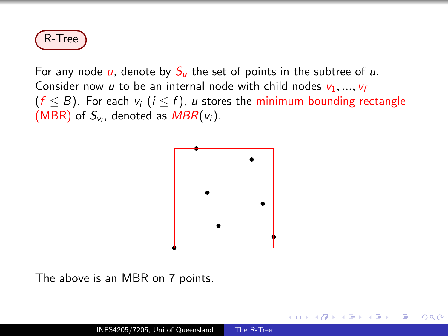

For any node  $\mu$ , denote by  $S_{\mu}$  the set of points in the subtree of  $\mu$ . Consider now u to be an internal node with child nodes  $v_1, ..., v_f$  $(f \leq B)$ . For each  $v_i$   $(i \leq f)$ , u stores the minimum bounding rectangle (MBR) of  $S_{v_i}$ , denoted as  $MBR(v_i)$ .



つくい

The above is an MBR on 7 points.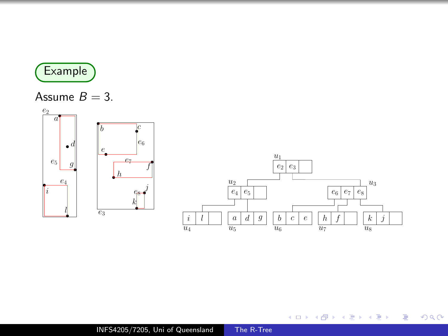

#### Assume  $B = 3$ .



メロメ メ御 メメ きょくきょう

目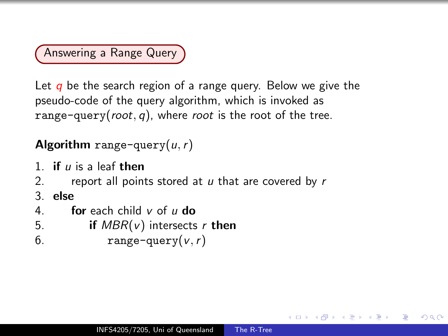Answering a Range Query

Let  $q$  be the search region of a range query. Below we give the pseudo-code of the query algorithm, which is invoked as range-query(root, q), where root is the root of the tree.

## Algorithm range-query $(u, r)$

1. if  $\mu$  is a leaf then

- 2. report all points stored at  $u$  that are covered by  $r$
- 3. else
- 4. **for** each child  $v$  of  $u$  do
- 5. if  $MBR(v)$  intersects r then
- 6. range-query $(v, r)$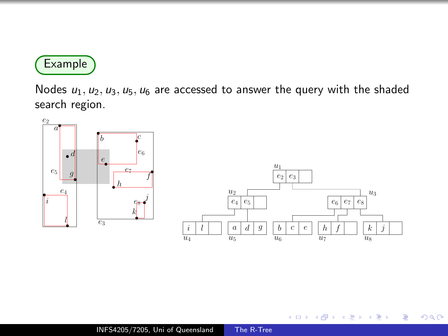

Nodes  $u_1, u_2, u_3, u_5, u_6$  are accessed to answer the query with the shaded search region.



 $\leftarrow$ 

Þ

∍  $\sim$ 

∍

 $\sim$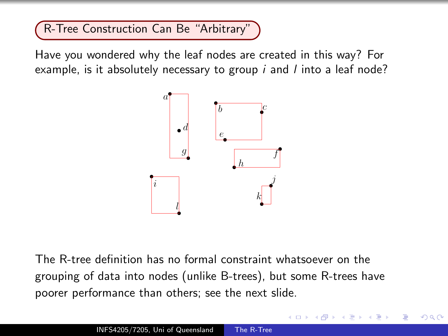R-Tree Construction Can Be "Arbitrary"

Have you wondered why the leaf nodes are created in this way? For example, is it absolutely necessary to group  $i$  and  $l$  into a leaf node?



The R-tree definition has no formal constraint whatsoever on the grouping of data into nodes (unlike B-trees), but some R-trees have poorer performance than others; see the next slide.

 $\Omega$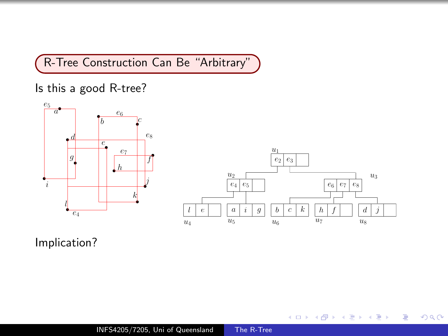R-Tree Construction Can Be "Arbitrary"

Is this a good R-tree?



目

э  $\rightarrow$ 

4 0 8

伺  $\sim$ ∍

 $\mathcal{A}$  $\sim$  $\mathcal{A}$ 

 $\mathcal{A}$ 

 $299$ 

Implication?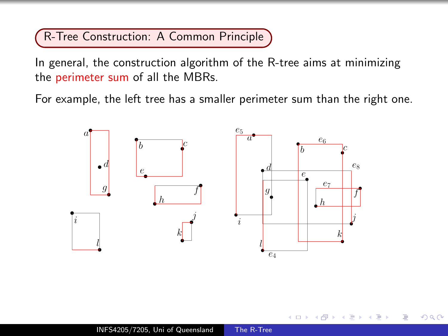R-Tree Construction: A Common Principle

In general, the construction algorithm of the R-tree aims at minimizing the perimeter sum of all the MBRs.

For example, the left tree has a smaller perimeter sum than the right one.



つくい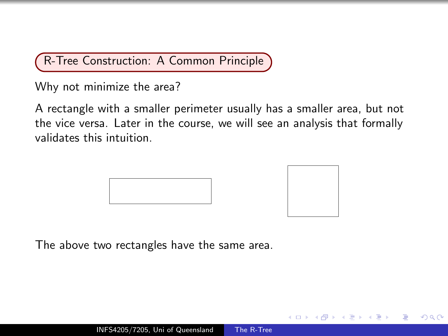R-Tree Construction: A Common Principle

Why not minimize the area?

A rectangle with a smaller perimeter usually has a smaller area, but not the vice versa. Later in the course, we will see an analysis that formally validates this intuition.





つくへ

The above two rectangles have the same area.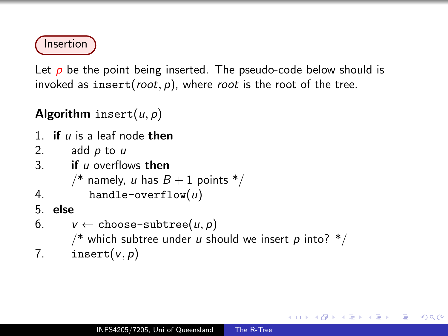

Let  $p$  be the point being inserted. The pseudo-code below should is invoked as insert( $root$ , p), where root is the root of the tree.

Algorithm insert $(u, p)$ 

- 1. if  $\mu$  is a leaf node then
- 2. add  $p$  to  $u$
- 3. **if**  $\mu$  overflows then
	- /\* namely, u has  $B + 1$  points \*/
- 4. handle-overflow $(u)$
- 5. else
- 6.  $v \leftarrow \text{choose-subtree}(u, p)$

/\* which subtree under u should we insert p into?  $*/$ 

 $200$ 

7. insert $(v, p)$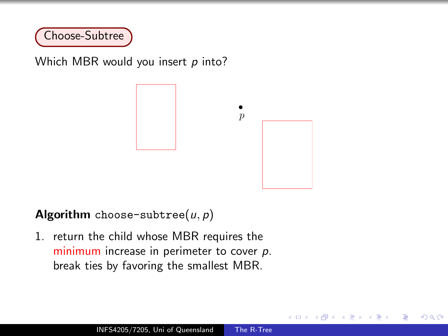

Which MBR would you insert  $p$  into?



つくい

Algorithm choose-subtree( $u, p$ )

1. return the child whose MBR requires the minimum increase in perimeter to cover p. break ties by favoring the smallest MBR.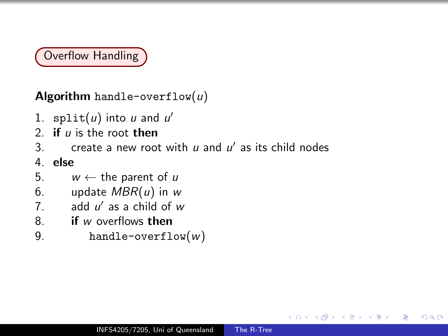# Overflow Handling

Algorithm handle-overflow $(u)$ 

- 1.  $split(u)$  into u and u'
- 2. if  $\mu$  is the root then
- 3. create a new root with  $u$  and  $u'$  as its child nodes

4. else

- 5.  $w \leftarrow$  the parent of u
- 6. update  $MBR(u)$  in w
- 7.  $\qquad$  add  $u'$  as a child of  $w$
- 8 **if** w overflows then
- 9. handle-overflow $(w)$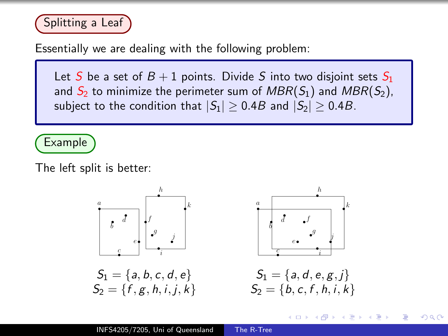

Essentially we are dealing with the following problem:

Let S be a set of  $B + 1$  points. Divide S into two disjoint sets  $S_1$ and  $S_2$  to minimize the perimeter sum of  $MBR(S_1)$  and  $MBR(S_2)$ , subject to the condition that  $|S_1| \geq 0.4B$  and  $|S_2| \geq 0.4B$ .

Example

The left split is better:



つくい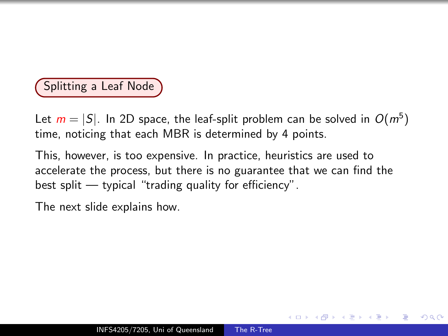## Splitting a Leaf Node

Let  $m = |S|$ . In 2D space, the leaf-split problem can be solved in  $O(m^5)$ time, noticing that each MBR is determined by 4 points.

This, however, is too expensive. In practice, heuristics are used to accelerate the process, but there is no guarantee that we can find the best split — typical "trading quality for efficiency".

The next slide explains how.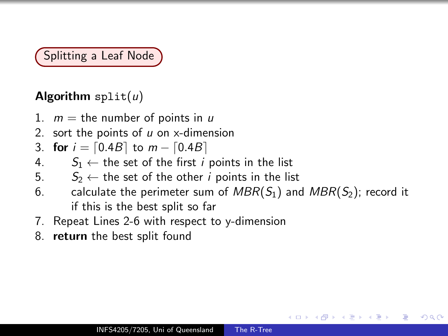Splitting a Leaf Node

## Algorithm  $split(u)$

- 1.  $m =$  the number of points in u
- 2. sort the points of  $u$  on x-dimension

3. for  $i = [0.4B]$  to  $m - [0.4B]$ 

- 4.  $S_1 \leftarrow$  the set of the first *i* points in the list<br>5.  $S_2 \leftarrow$  the set of the other *i* points in the list
- $S_2 \leftarrow$  the set of the other *i* points in the list
- 6. calculate the perimeter sum of  $MBR(S_1)$  and  $MBR(S_2)$ ; record it if this is the best split so far

つくへ

- 7. Repeat Lines 2-6 with respect to y-dimension
- 8. return the best split found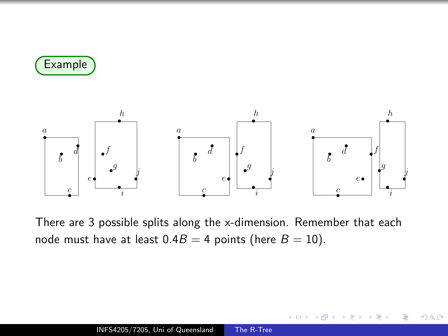



There are 3 possible splits along the x-dimension. Remember that each node must have at least  $0.4B = 4$  points (here  $B = 10$ ).

 $\Omega$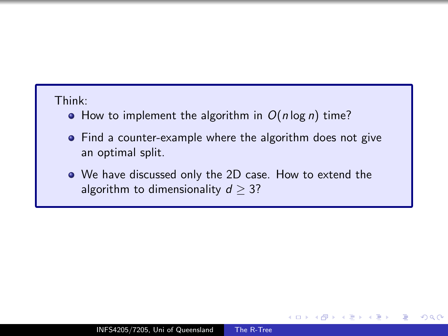#### Think:

- $\bullet$  How to implement the algorithm in  $O(n \log n)$  time?
- Find a counter-example where the algorithm does not give an optimal split.
- We have discussed only the 2D case. How to extend the algorithm to dimensionality  $d \geq 3$ ?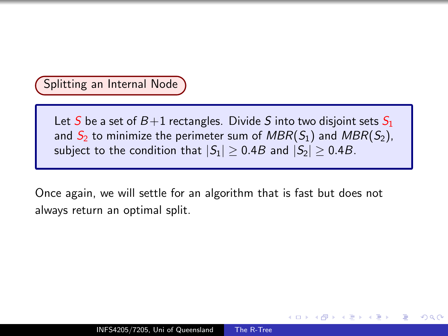#### Splitting an Internal Node

Let S be a set of  $B+1$  rectangles. Divide S into two disjoint sets  $S_1$ and  $S_2$  to minimize the perimeter sum of  $MBR(S_1)$  and  $MBR(S_2)$ , subject to the condition that  $|S_1| \ge 0.4B$  and  $|S_2| \ge 0.4B$ .

つくへ

Once again, we will settle for an algorithm that is fast but does not always return an optimal split.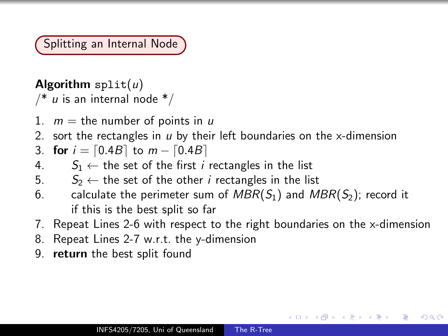Splitting an Internal Node

# Algorithm  $split(u)$

 $/* u$  is an internal node  $*/$ 

- 1.  $m =$  the number of points in u
- 2. sort the rectangles in  $u$  by their left boundaries on the x-dimension

3. for  $i = [0.4B]$  to  $m - [0.4B]$ 

- 4.  $S_1 \leftarrow$  the set of the first *i* rectangles in the list
- 5.  $S_2 \leftarrow$  the set of the other *i* rectangles in the list
- 6. calculate the perimeter sum of  $MBR(S_1)$  and  $MBR(S_2)$ ; record it if this is the best split so far
- 7. Repeat Lines 2-6 with respect to the right boundaries on the x-dimension

- 8. Repeat Lines 2-7 w.r.t. the y-dimension
- 9. return the best split found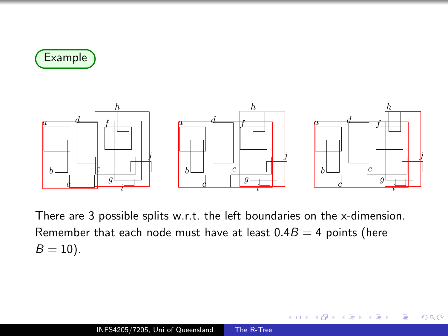



There are 3 possible splits w.r.t. the left boundaries on the x-dimension. Remember that each node must have at least  $0.4B = 4$  points (here  $B = 10$ ).

 $QQ$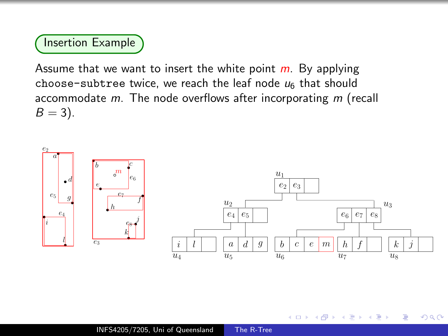#### Insertion Example

Assume that we want to insert the white point  $m$ . By applying choose-subtree twice, we reach the leaf node  $u_6$  that should accommodate m. The node overflows after incorporating m (recall  $B = 3$ ).

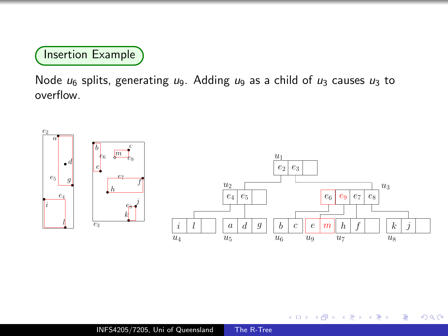Insertion Example

Node  $u_6$  splits, generating  $u_9$ . Adding  $u_9$  as a child of  $u_3$  causes  $u_3$  to overflow.



 $\leftarrow$ 

∍

**B** 

 $\sim$ 

∍

**B** 

 $299$ 

э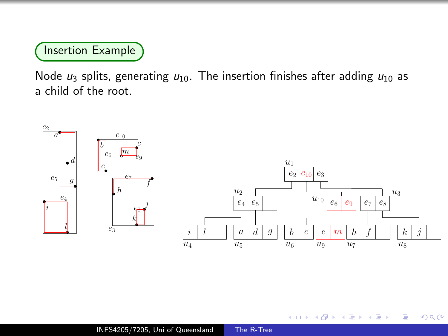## Insertion Example

Node  $u_3$  splits, generating  $u_{10}$ . The insertion finishes after adding  $u_{10}$  as a child of the root.



Ð

 $299$ 

∍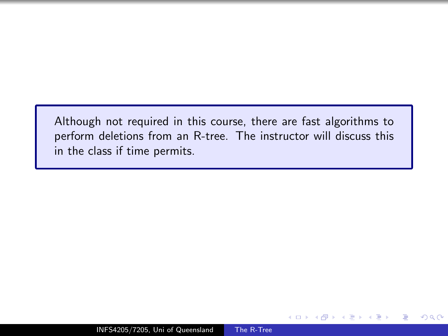Although not required in this course, there are fast algorithms to perform deletions from an R-tree. The instructor will discuss this in the class if time permits.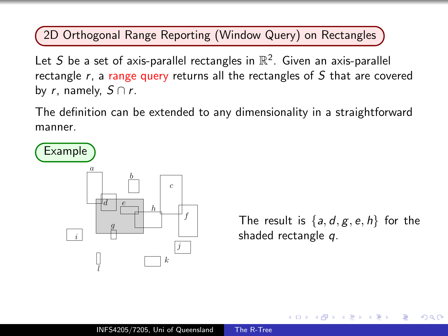#### 2D Orthogonal Range Reporting (Window Query) on Rectangles

Let S be a set of axis-parallel rectangles in  $\mathbb{R}^2$ . Given an axis-parallel rectangle  $r$ , a range query returns all the rectangles of  $S$  that are covered by r, namely,  $S \cap r$ .

The definition can be extended to any dimensionality in a straightforward manner.



The result is  $\{a, d, g, e, h\}$  for the shaded rectangle q.

つくい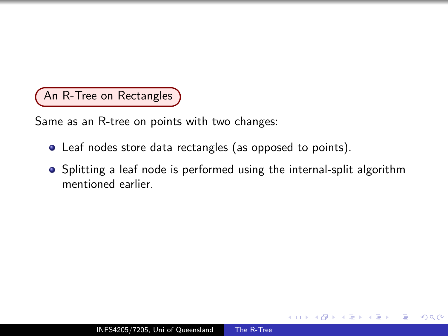An R-Tree on Rectangles

Same as an R-tree on points with two changes:

- Leaf nodes store data rectangles (as opposed to points).
- Splitting a leaf node is performed using the internal-split algorithm mentioned earlier.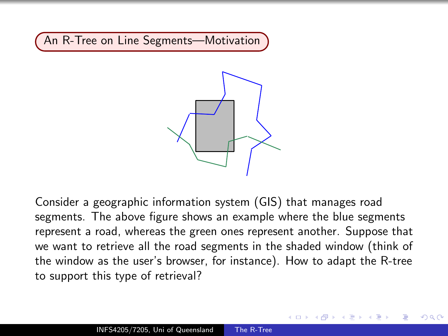An R-Tree on Line Segments—Motivation



Consider a geographic information system (GIS) that manages road segments. The above figure shows an example where the blue segments represent a road, whereas the green ones represent another. Suppose that we want to retrieve all the road segments in the shaded window (think of the window as the user's browser, for instance). How to adapt the R-tree to support this type of retrieval?

no c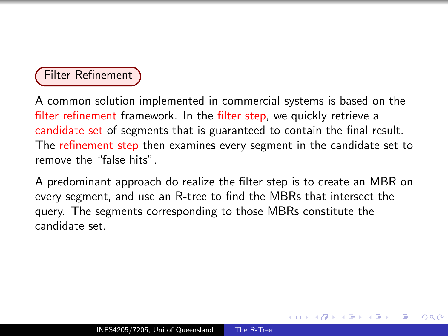## Filter Refinement

A common solution implemented in commercial systems is based on the filter refinement framework. In the filter step, we quickly retrieve a candidate set of segments that is guaranteed to contain the final result. The refinement step then examines every segment in the candidate set to remove the "false hits".

A predominant approach do realize the filter step is to create an MBR on every segment, and use an R-tree to find the MBRs that intersect the query. The segments corresponding to those MBRs constitute the candidate set.

ഹൈ